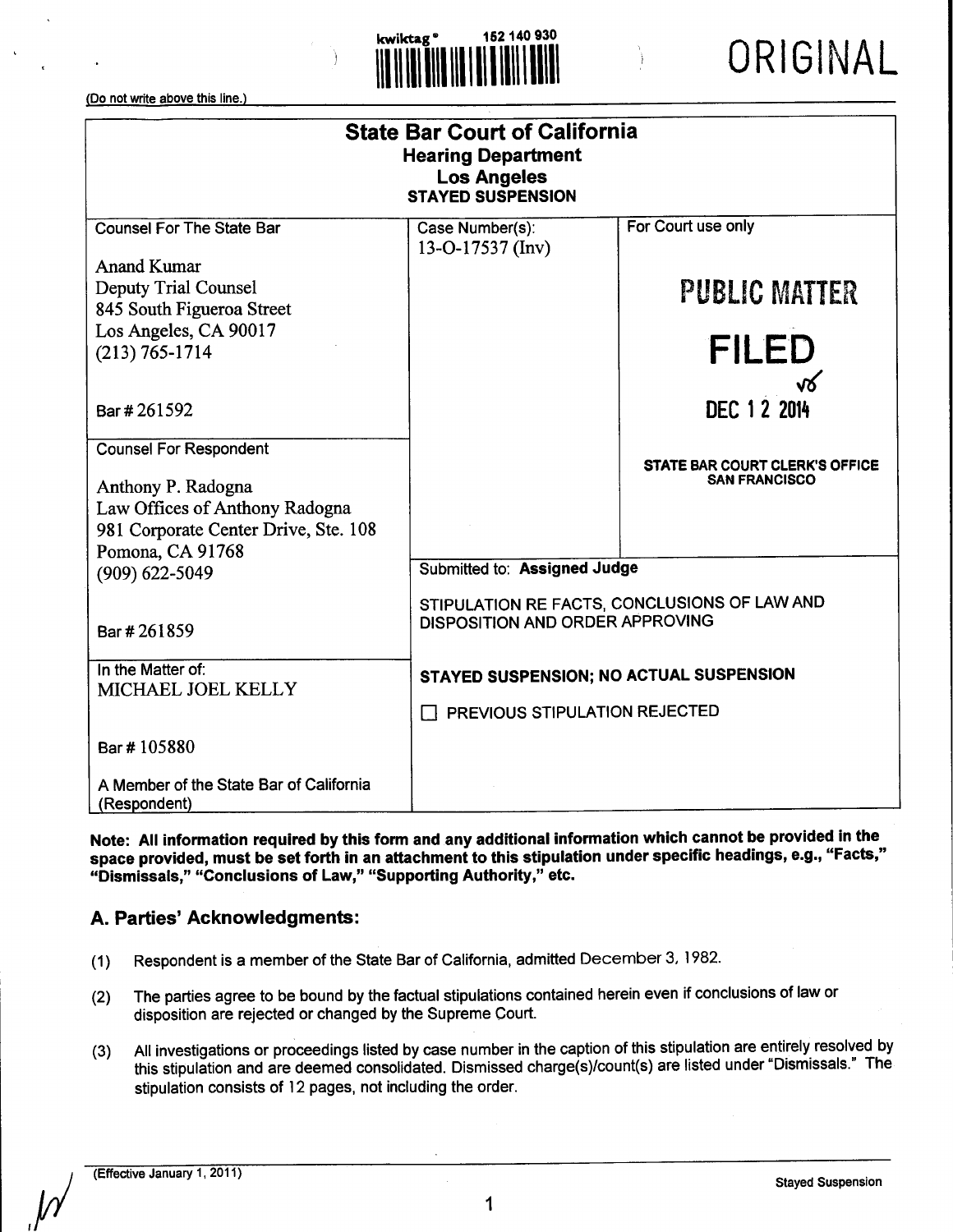

| <b>State Bar Court of California</b><br><b>Hearing Department</b><br><b>Los Angeles</b><br><b>STAYED SUSPENSION</b> |                                         |                                                               |
|---------------------------------------------------------------------------------------------------------------------|-----------------------------------------|---------------------------------------------------------------|
| <b>Counsel For The State Bar</b>                                                                                    | Case Number(s):<br>13-O-17537 (Inv)     | For Court use only                                            |
| <b>Anand Kumar</b>                                                                                                  |                                         |                                                               |
| <b>Deputy Trial Counsel</b>                                                                                         |                                         | <b>PUBLIC MATTER</b>                                          |
| 845 South Figueroa Street                                                                                           |                                         |                                                               |
| Los Angeles, CA 90017                                                                                               |                                         |                                                               |
| $(213) 765 - 1714$                                                                                                  |                                         | <b>FILED</b>                                                  |
| Bar # 261592                                                                                                        |                                         | √४<br>DEC 1 2 2014                                            |
| <b>Counsel For Respondent</b>                                                                                       |                                         |                                                               |
|                                                                                                                     |                                         | <b>STATE BAR COURT CLERK'S OFFICE</b><br><b>SAN FRANCISCO</b> |
| Anthony P. Radogna                                                                                                  |                                         |                                                               |
| Law Offices of Anthony Radogna                                                                                      |                                         |                                                               |
| 981 Corporate Center Drive, Ste. 108                                                                                |                                         |                                                               |
| Pomona, CA 91768                                                                                                    | Submitted to: Assigned Judge            |                                                               |
| $(909) 622 - 5049$                                                                                                  |                                         |                                                               |
|                                                                                                                     |                                         | STIPULATION RE FACTS, CONCLUSIONS OF LAW AND                  |
| Bar #261859                                                                                                         | DISPOSITION AND ORDER APPROVING         |                                                               |
| In the Matter of:                                                                                                   | STAYED SUSPENSION; NO ACTUAL SUSPENSION |                                                               |
| MICHAEL JOEL KELLY                                                                                                  |                                         |                                                               |
|                                                                                                                     | PREVIOUS STIPULATION REJECTED           |                                                               |
| Bar #105880                                                                                                         |                                         |                                                               |
| A Member of the State Bar of California<br>(Respondent)                                                             |                                         |                                                               |

**Note: All information required** by this form **and any additional information which cannot be provided in the** space **provided, must be set** forth in an attachment to this stipulation under specific headings, e.g., "Facts," "Dismissals," "Conclusions of Law," "Supporting Authority," etc.

# **A. Parties' Acknowledgments:**

- (1) Respondent is a member of the State Bar of California, admitted December 3, 1982.
- (2) The parties agree to be bound by the factual stipulations contained herein even if conclusions of law or disposition are rejected or changed by the Supreme Court.
- (3) All investigations or proceedings listed by case number in the caption of this stipulation are entirely resolved by this stipulation and are deemed consolidated. Dismissed charge(s)/count(s) are listed under "Dismissals." The stipulation consists of 12 pages, not including the order.

 $\overline{\nu}$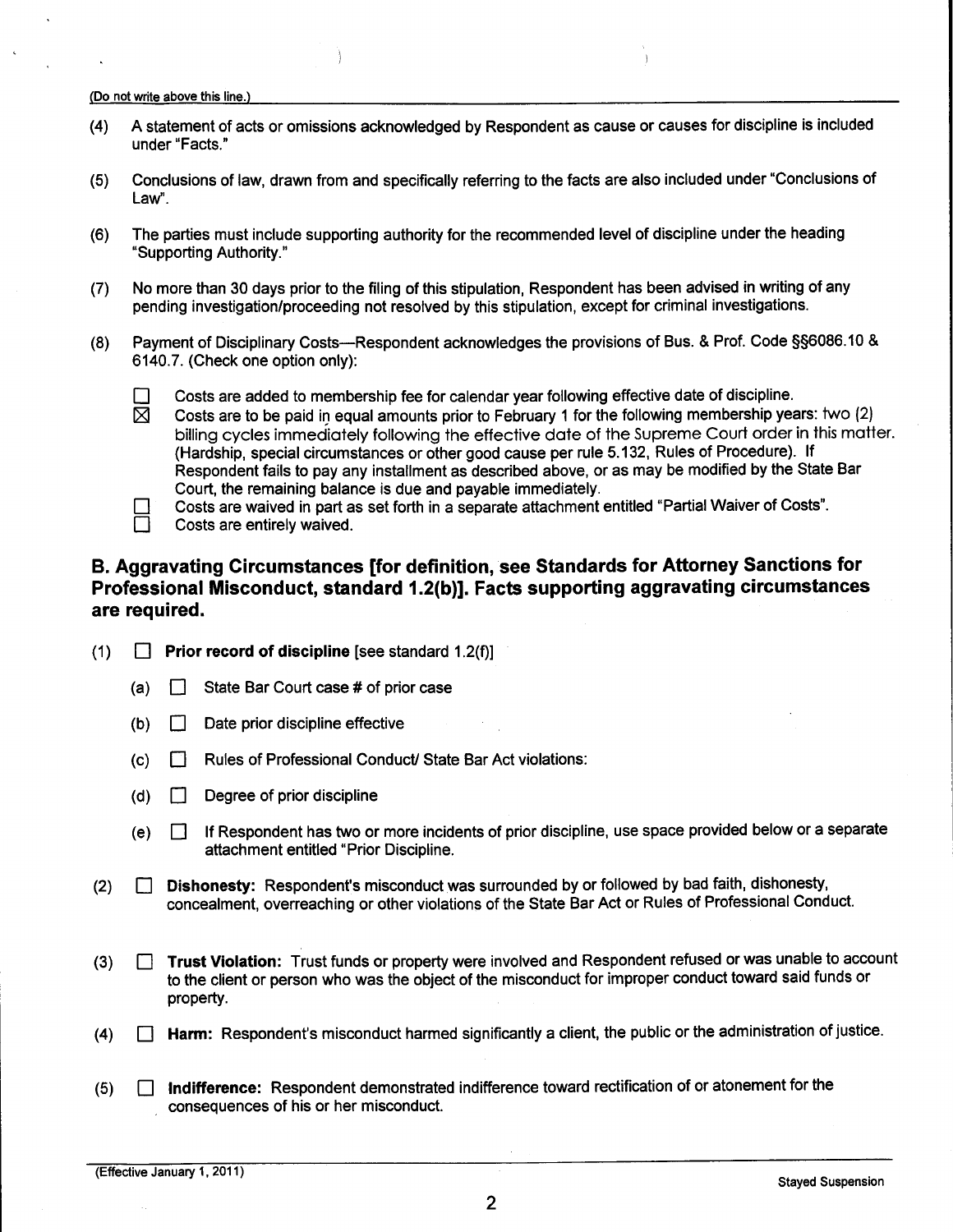- (4) A statement of acts or omissions acknowledged by Respondent as cause or causes for discipline is included under "Facts."
- (5) Conclusions of law, drawn from and specifically referring to the facts are also included under "Conclusions of Law".
- (6) The parties must include supporting authority for the recommended level of discipline under the heading "Supporting Authority."
- (7) No more than 30 days prior to the filing of this stipulation, Respondent has been advised in writing of any pending investigation/proceeding not resolved by this stipulation, except for criminal investigations.
- (8) Payment of Disciplinary Costs—Respondent acknowledges the provisions of Bus. & Prof. Code §§6086.10 & 6140.7. (Check one option only):
	- $\square$  Costs are added to membership fee for calendar year following effective date of discipline.<br>  $\boxtimes$  Costs are to be paid in equal amounts prior to February 1 for the following membership yea
		- Costs are to be paid in equal amounts prior to February 1 for the following membership years: two (2) billing cycles immediately following the effective date of the Supreme Court order in this matter. (Hardship, special circumstances or other good cause per rule 5.132, Rules of Procedure). If Respondent fails to pay any installment as described above, or as may be modified by the State Bar Court, the remaining balance is due and payable immediately.

Costs are waived in part as set forth in a separate attachment entitled "Partial Waiver of Costs".



# **B. Aggravating Circumstances [for definition, see Standards for Attorney Sanctions for Professional Misconduct, standard 1.2(b)]. Facts supporting aggravating circumstances are required.**

- (1) [] **Prior record of discipline** [see standard 1.2(f)]
	- (a)  $\Box$  State Bar Court case # of prior case
	- $(b)$  Date prior discipline effective
	- (c) [] Rules of Professional Conduct/State Bar Act violations:
	- (d)  $\Box$  Degree of prior discipline
	- (e) [] If Respondent has two or more incidents of prior discipline, use space provided below or a separate attachment entitled "Prior Discipline.
- (2) **[] Dishonesty:** Respondent's misconduct was surrounded by or followed by bad faith, dishonesty, concealment, overreaching or other violations of the State Bar Act or Rules of Professional Conduct.
- (3) [] **Trust Violation:** Trust funds or property were involved and Respondent refused or was unable to account to the client or person who was the object of the misconduct for improper conduct toward said funds or property.
- $(4)$  **Harm:** Respondent's misconduct harmed significantly a client, the public or the administration of justice.
- (5) [] Indifference: Respondent demonstrated indifference toward rectification of or atonement for the consequences of his or her misconduct.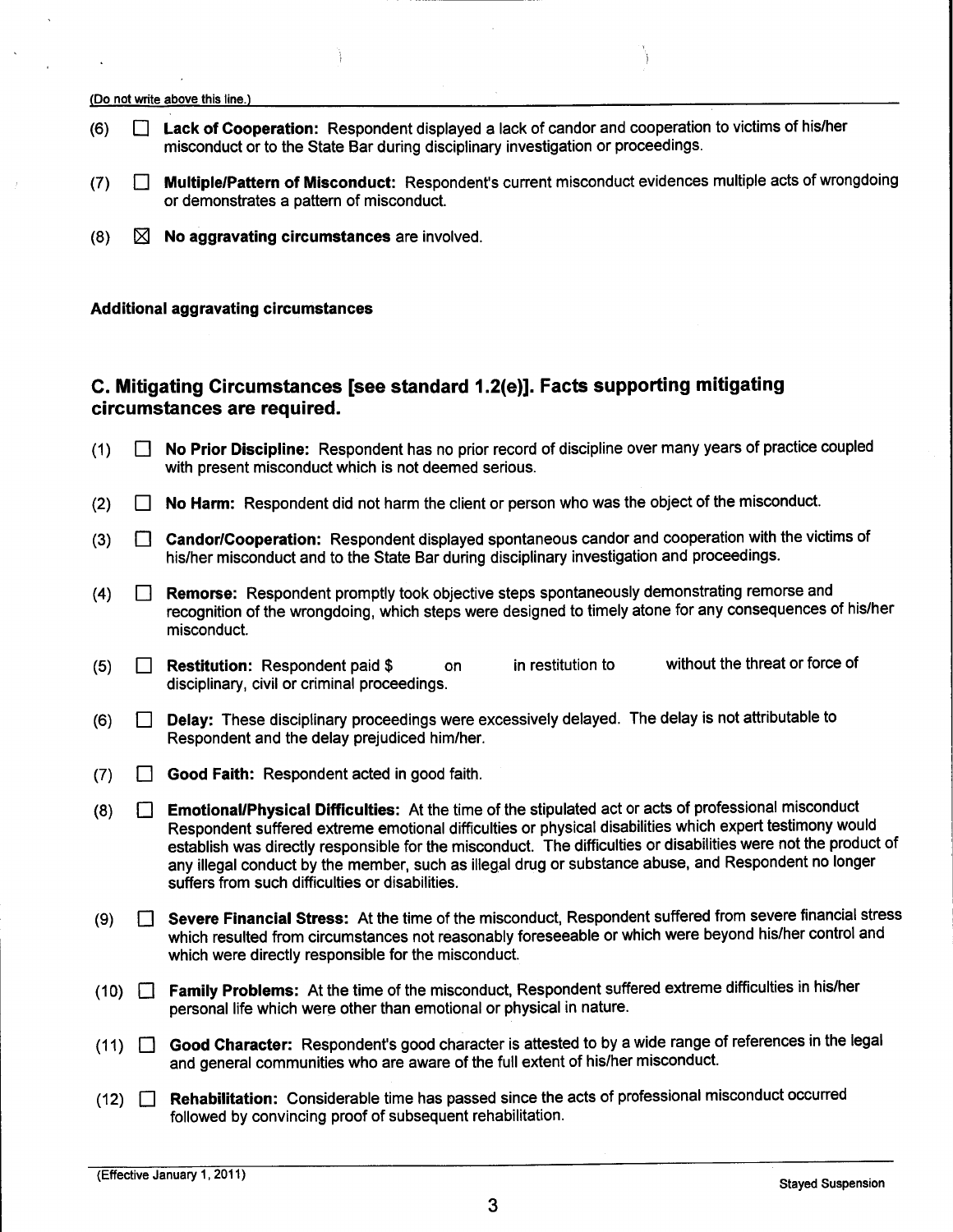- (6) [] Lack **of Cooperation:** Respondent displayed a lack of candor and cooperation to victims of his/her misconduct or to the State Bar during disciplinary investigation or proceedings.
- (7) [] Multiple/Pattern **of Misconduct:** Respondent's current misconduct evidences multiple acts of wrongdoing or demonstrates a pattern of misconduct.
- (8) [] No **aggravating circumstances** are involved.

#### **Additional aggravating circumstances**

# **C. Mitigating Circumstances [see standard 1.2(e)]. Facts supporting mitigating circumstances are required.**

- (1) [] No **Prior Discipline:** Respondent has no prior record of discipline over many years of practice coupled with present misconduct which is not deemed serious.
- (2)  $\Box$  No Harm: Respondent did not harm the client or person who was the object of the misconduct.
- (3) **I** Candor/Cooperation: Respondent displayed spontaneous candor and cooperation with the victims of his/her misconduct and to the State Bar during disciplinary investigation and proceedings.
- **(4) [] Remorse:** Respondent promptly took objective steps spontaneously demonstrating remorse and recognition of the wrongdoing, which steps were designed to timely atone for any consequences of his/her misconduct.
- **(5) [] Restitution:** Respondent paid \$ on disciplinary, civil or criminal proceedings. in restitution to without the threat or force of
- (6) [] Delay: These disciplinary proceedings were excessively delayed. The delay is not attributable to Respondent and the delay prejudiced him/her.
- $(7)$ **Good Faith: Respondent acted in good faith.**
- **(8) [] Emotional/Physical Difficulties:** At the time of the stipulated act or acts of professional misconduct Respondent suffered extreme emotional difficulties or physical disabilities which expert testimony would establish was directly responsible for the misconduct. The difficulties or disabilities were not the product of any illegal conduct by the member, such as illegal drug or substance abuse, and Respondent no longer suffers from such difficulties or disabilities.
- **Severe Financial Stress:** At the time of the misconduct, Respondent suffered from severe financial stress  $(9)$  $\mathbf{L}$ which resulted from circumstances not reasonably foreseeable or which were beyond his/her control and which were directly responsible for the misconduct.
- (10) [] **Family Problems:** At the time of the misconduct, Respondent suffered extreme difficulties in his/her personal life which were other than emotional or physical in nature.
- (11) [] **Good Character:** Respondent's good character is attested to by a wide range of references in the legal and general communities who are aware of the full extent of his/her misconduct.
- $(12)$   $\Box$ **Rehabilitation:** Considerable time has passed since the acts of professional misconduct occurred followed by convincing proof of subsequent rehabilitation.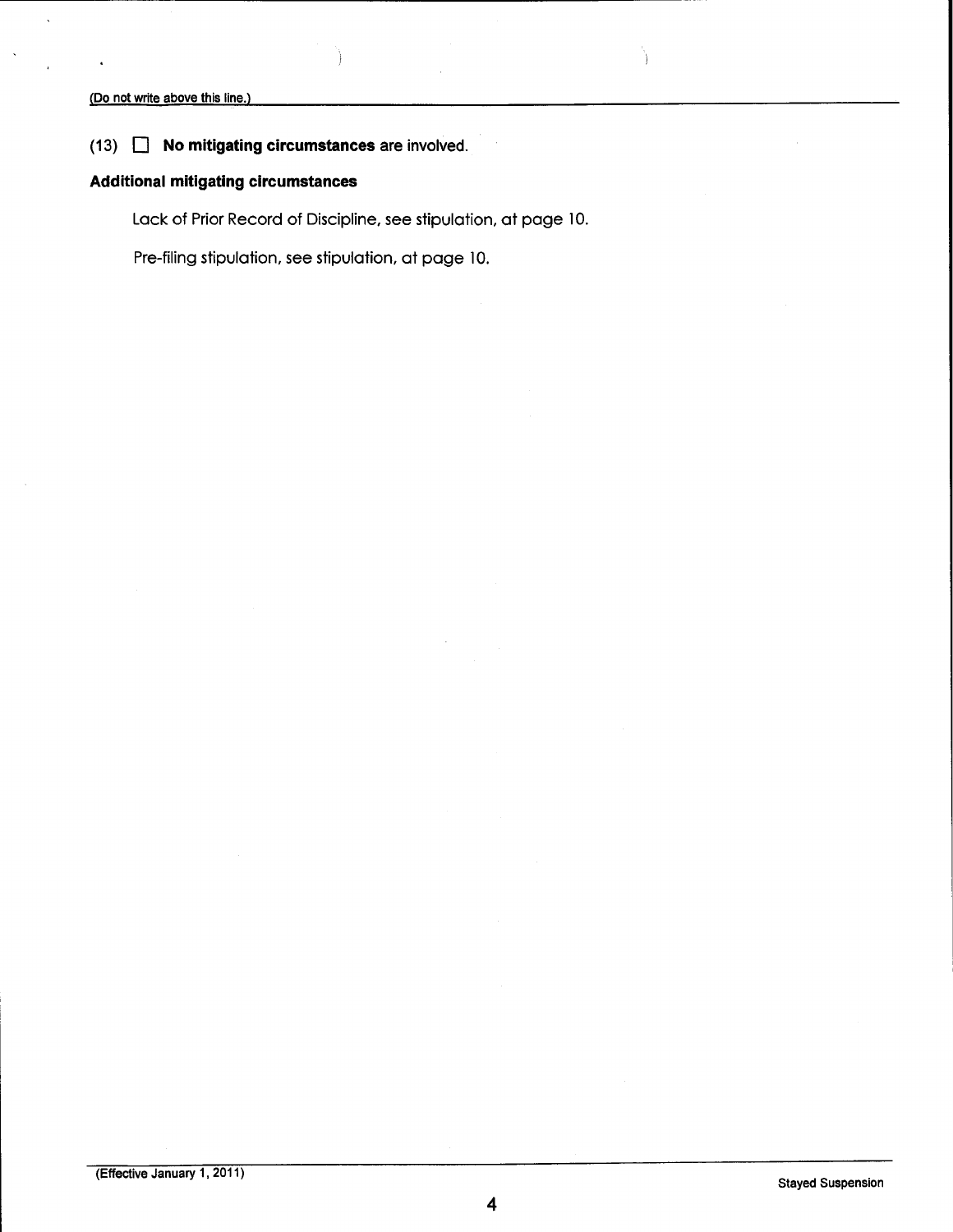# $(13)$   $\Box$  No mitigating circumstances are involved.

# Additional mitigating circumstances

Lack of Prior Record of Discipline, see stipulation, at page 10.

Pre-filing stipulation, see stipulation, at page 10.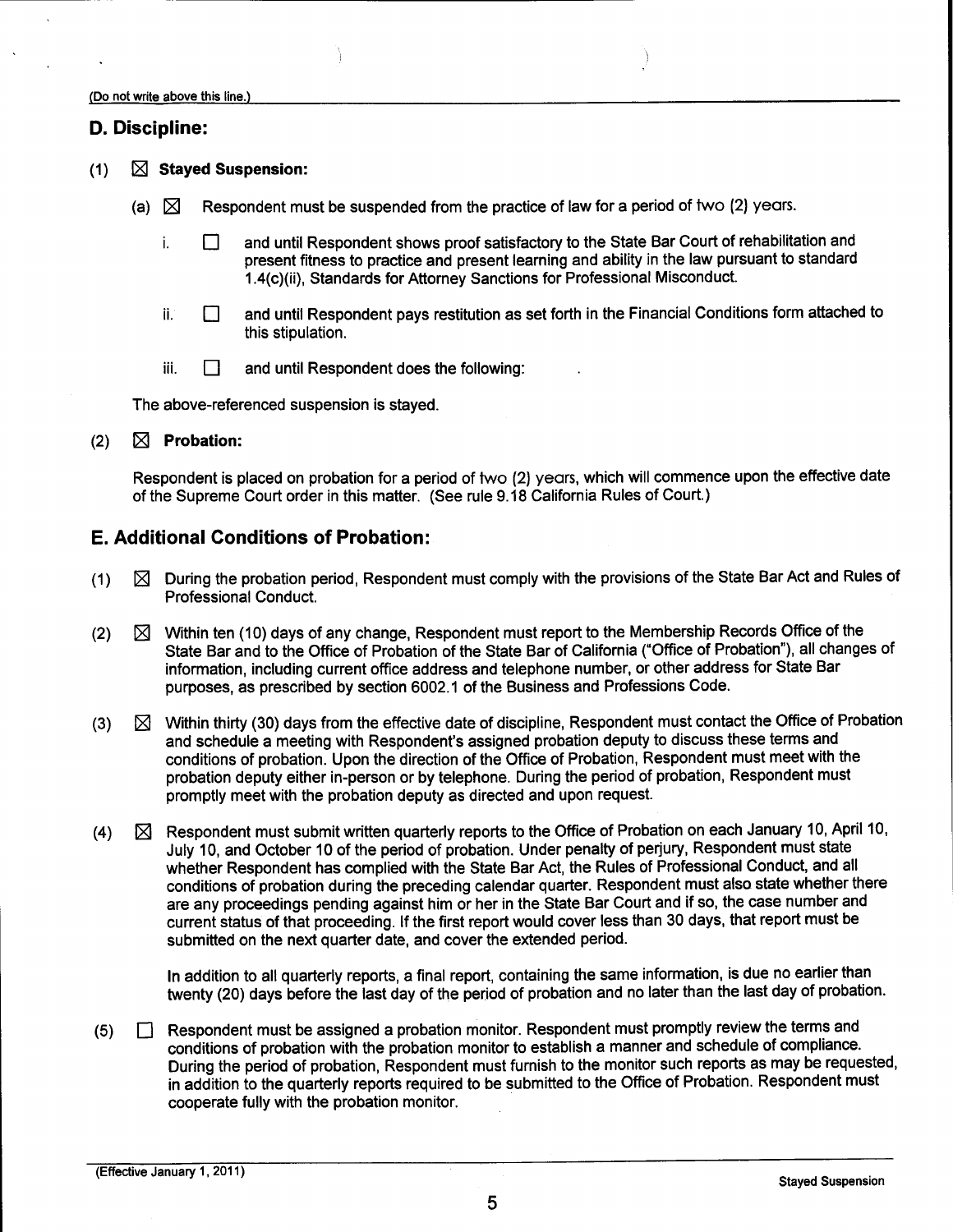### **D. Discipline:**

- (1) [] **Stayed Suspension:**
	- (a)  $\boxtimes$  Respondent must be suspended from the practice of law for a period of two (2) years.
		- and until Respondent shows proof satisfactory to the State Bar Court of rehabilitation and i.  $\Box$ present fitness to practice and present learning and ability in the law pursuant to standard 1.4(c)(ii), Standards for Attorney Sanctions for Professional Misconduct.
		- ii.¸ [] and until Respondent pays restitution as set forth in the Financial Conditions form attached to this stipulation.
		- iii.  $\Box$  and until Respondent does the following:

The above-referenced suspension is stayed.

 $(2)$   $\boxtimes$  **Probation:** 

Respondent is placed on probation for a period of two (2) years, which will commence upon the effective date of the Supreme Court order in this matter. (See rule 9.18 California Rules of Court.)

# **E. Additional Conditions of Probation:**

- $(1)$   $\boxtimes$  During the probation period, Respondent must comply with the provisions of the State Bar Act and Rules of Professional Conduct.
- $(2)$   $\boxtimes$  Within ten (10) days of any change, Respondent must report to the Membership Records Office of the State Bar and to the Office of Probation of the State Bar of California ("Office of Probation"), all changes of information, including current office address and telephone number, or other address for State Bar purposes, as prescribed by section 6002.1 of the Business and Professions Code.
- (3)  $\boxtimes$  Within thirty (30) days from the effective date of discipline, Respondent must contact the Office of Probation and schedule a meeting with Respondent's assigned probation deputy to discuss these terms and conditions of probation. Upon the direction of the Office of Probation, Respondent must meet with the probation deputy either in-person or by telephone. During the period of probation, Respondent must promptly meet with the probation deputy as directed and upon request.
- (4) Respondent must submit written quarterly reports to the Office of Probation on each January 10, April 10, July 10, and October 10 of the period of probation. Under penalty of perjury, Respondent must state whether Respondent has complied with the State Bar Act, the Rules of Professional Conduct, and all conditions of probation during the preceding calendar quarter. Respondent must also state whether there are any proceedings pending against him or her in the State Bar Court and if so, the case number and current status of that proceeding. If the first report would cover less than 30 days, that report must be submitted on the next quarter date, and cover the extended period.

In addition to all quarterly reports, a final report, containing the same information, is due no earlier than twenty (20) days before the last day of the period of probation and no later than the last day of probation.

**(5) []** Respondent must be assigned a probation monitor. Respondent must promptly review the terms and conditions of probation with the probation monitor to establish a manner and schedule of compliance. During the period of probation, Respondent must furnish to the monitor such reports as may be requested, in addition to the quarterly reports required to be submitted to the Office of Probation. Respondent must cooperate fully with the probation monitor.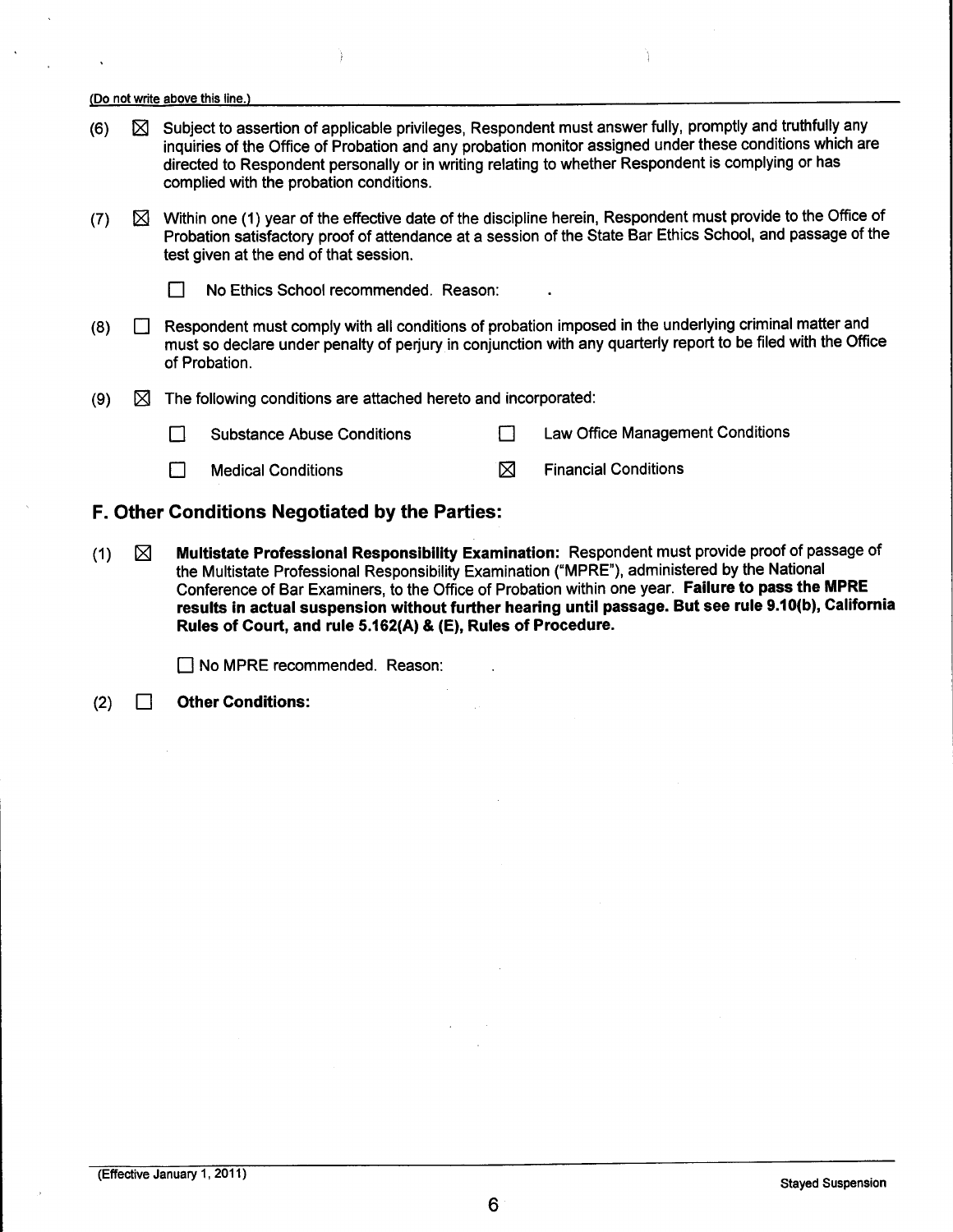- **(6) []** Subject to assertion of applicable privileges, Respondent must answer fully, promptly and truthfully any inquiries of the Office of Probation and any probation monitor assigned under these conditions which are directed to Respondent personally or in writing relating to whether Respondent is complying or has complied with the probation conditions.
- (7)  $\boxtimes$  Within one (1) year of the effective date of the discipline herein, Respondent must provide to the Office of Probation satisfactory proof of attendance at a session of the State Bar Ethics School, and passage of the test given at the end of that session.
	-

**No Ethics School recommended. Reason:** 

- **(8) []** Respondent must comply with all conditions of probation imposed in the underlying criminal matter and must so declare under penalty of perjury in conjunction with any quarterly report to be filed with the Office of Probation.
- (9)  $\boxtimes$  The following conditions are attached hereto and incorporated:
	- [] Substance Abuse Conditions [] Law Office Management Conditions

 $\Box$  Medical Conditions  $\boxtimes$  Financial Conditions

- **F. Other Conditions Negotiated by the Parties:**
- (1) [] **Multistate Professional Responsibility Examination:** Respondent must provide proof of passage of the Multistate Professional Responsibility Examination ("MPRE"), administered by the National Conference of Bar Examiners, to the Office of Probation within one year. Failure **to pass the** MPRE results in **actual suspension without further hearing until passage. But see** rule 9.10(b), California **Rules** of Court, and rule 5.162(A) & (E), Rules of **Procedure.**

[] No MPRE recommended. Reason:

(2) [] Other **Conditions:**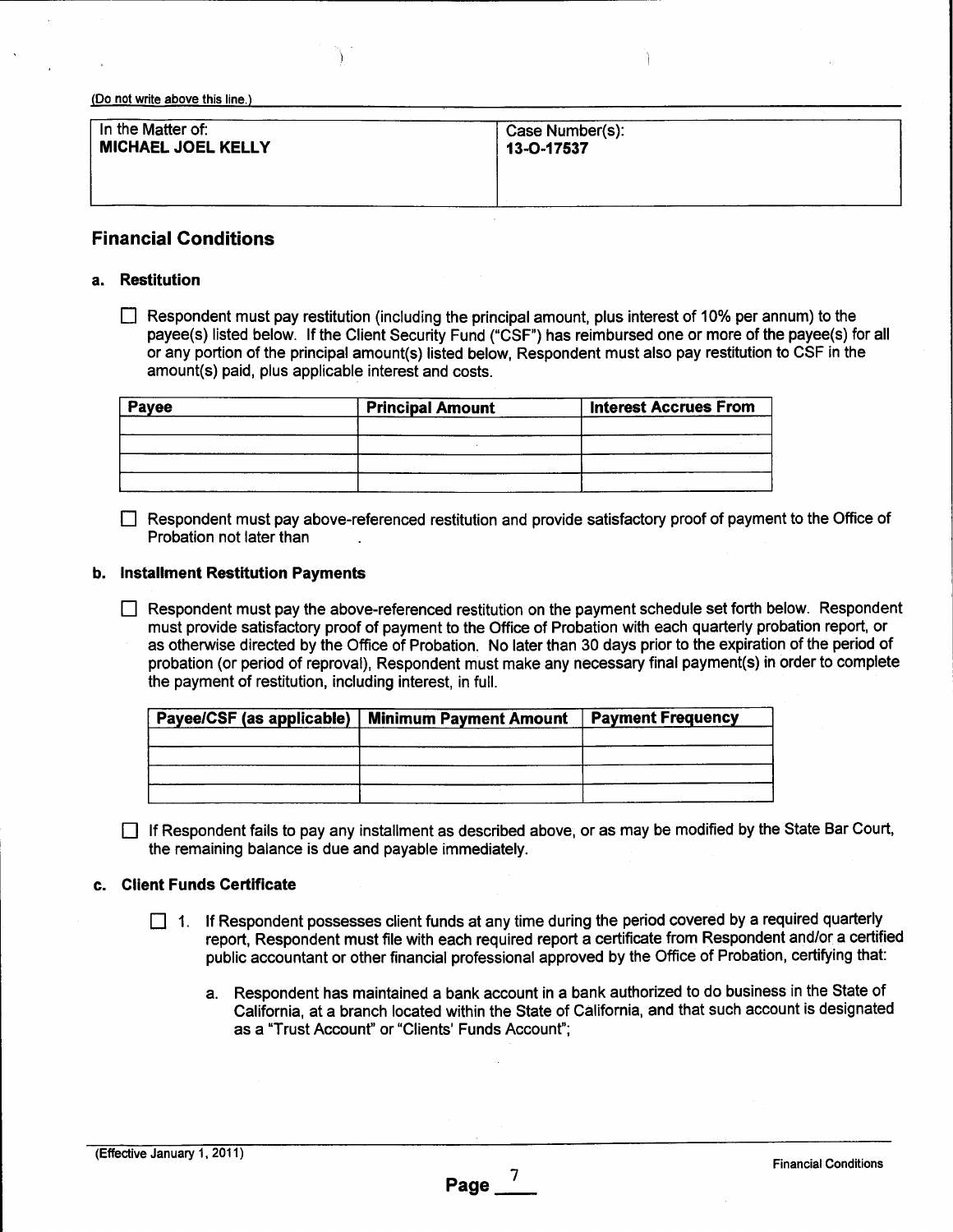| In the Matter of:         | Case Number(s): |
|---------------------------|-----------------|
| <b>MICHAEL JOEL KELLY</b> | 13-O-17537      |
|                           |                 |

# **Financial Conditions**

#### **a. Restitution**

 $\Box$  Respondent must pay restitution (including the principal amount, plus interest of 10% per annum) to the payee(s) listed below. If the Client Security Fund ("CSF") has reimbursed one or more of the payee(s) for all or any portion of the principal amount(s) listed below, Respondent must also pay restitution to CSF in the amount(s) paid, plus applicable interest and costs.

| Payee | <b>Principal Amount</b> | <b>Interest Accrues From</b> |
|-------|-------------------------|------------------------------|
|       |                         |                              |
|       |                         |                              |
|       |                         |                              |
|       |                         |                              |

[] Respondent must pay above-referenced restitution and provide satisfactory proof of payment to the Office of Probation not later than

#### **b. Installment Restitution Payments**

[] Respondent must pay the above-referenced restitution on the payment schedule set forth below. Respondent must provide satisfactory proof of payment to the Office of Probation with each quarterly probation report, or as otherwise directed by the Office of Probation. No later than 30 days prior to the expiration of the period of probation (or period of reproval), Respondent must make any necessary final payment(s) in order to complete the payment of restitution, including interest, in full.

| <b>Payment Frequency</b><br>Payee/CSF (as applicable)   Minimum Payment Amount |  |
|--------------------------------------------------------------------------------|--|
|                                                                                |  |
|                                                                                |  |
|                                                                                |  |
|                                                                                |  |

 $\Box$  If Respondent fails to pay any installment as described above, or as may be modified by the State Bar Court, the remaining balance is due and payable immediately.

#### **c. Client Funds Certificate**

- $\Box$  1. If Respondent possesses client funds at any time during the period covered by a required quarterly report, Respondent must file with each required report a certificate from Respondent and/or a certified public accountant or other financial professional approved by the Office of Probation, certifying that:
	- a. Respondent has maintained a bank account in a bank authorized to do business in the State of California, at a branch located within the State of California, and that such account is designated as a "Trust Account" or "Clients' Funds Account";

**Page**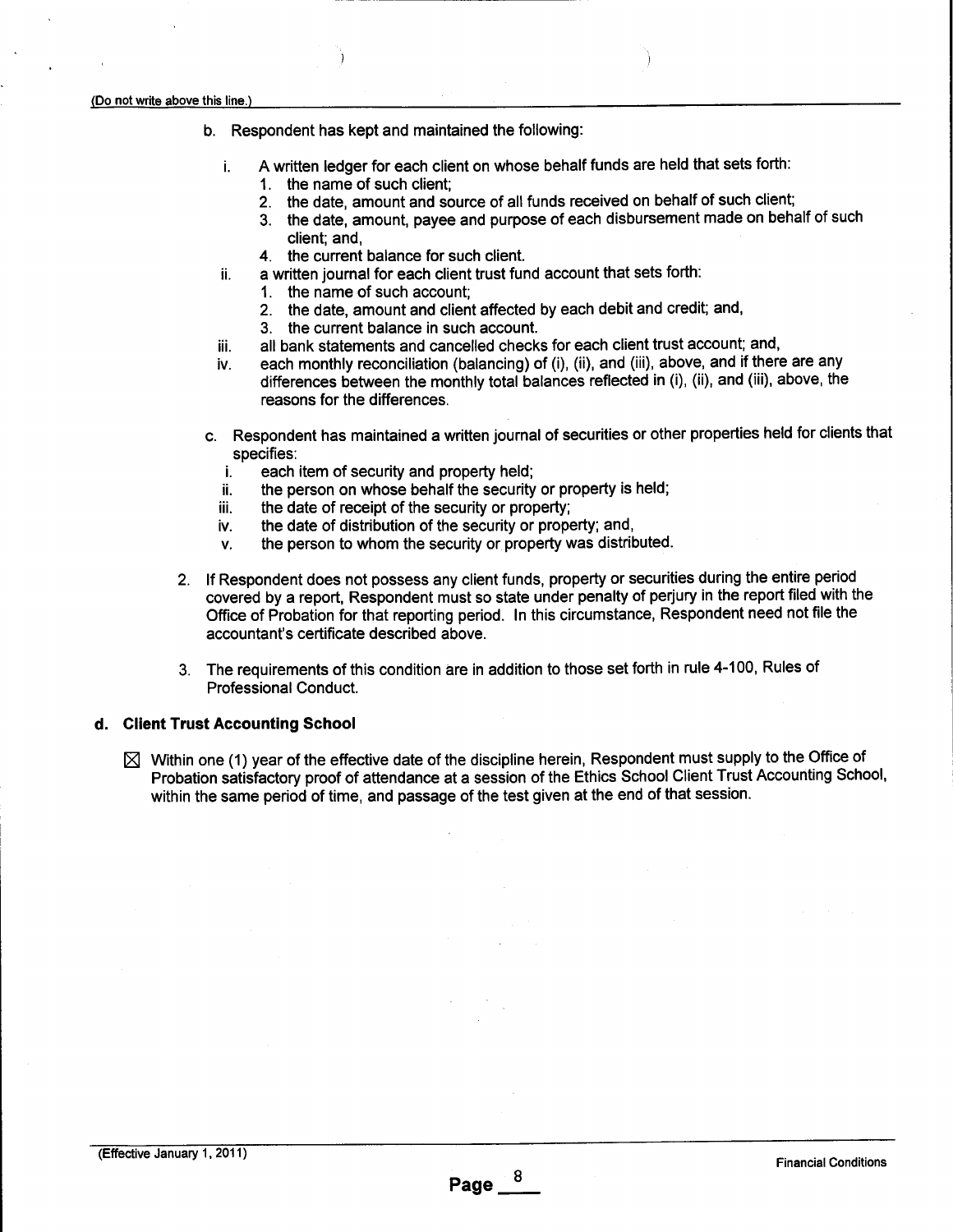**ii.**

- b. Respondent has kept and maintained the following:
	- A written ledger for each client on whose behalf funds are held that sets forth: i.
		- 1. the name of such client;
		- 2. the date, amount and source of all funds received on behalf of such client;
		- 3. the date, amount, payee and purpose of each disbursement made on behalf of such client; and,
		- 4. the current balance for such client.
		- a written journal for each client trust fund account that sets forth:
			- 1. the name of such account;
			- 2. the date, amount and client affected by each debit and credit; and,
			- 3. the current balance in such account.
	- **iii.** all bank statements and cancelled checks for each client trust account; and,
	- each monthly reconciliation (balancing) of (i), (ii), and (iii), above, and if there are any iv. differences between the monthly total balances reflected in (i), (ii), and (iii), above, the reasons for the differences.
- c. Respondent has maintained a written journal of securities or other properties held for clients that specifies:
	- i. each item of security and property held;
	- ii. the person on whose behalf the security or property is held;
	- iii. the date of receipt of the security or property;
	- iv. the date of distribution of the security or property; and,
	- v. the person to whom the security or property was distributed.
- 2. If Respondent does not possess any client funds, property or securities during the entire period covered by a report, Respondent must so state under penalty of perjury in the report filed with the Office of Probation for that reporting period. In this circumstance, Respondent need not file the accountant's certificate described above.
- 3. The requirements of this condition are in addition to those set forth in rule 4-100, Rules of Professional Conduct.

#### **d. Client Trust Accounting School**

 $\boxtimes$  Within one (1) year of the effective date of the discipline herein, Respondent must supply to the Office of Probation satisfactory proof of attendance at a session of the Ethics School Client Trust Accounting School, within the same period of time, and passage of the test given at the end of that session.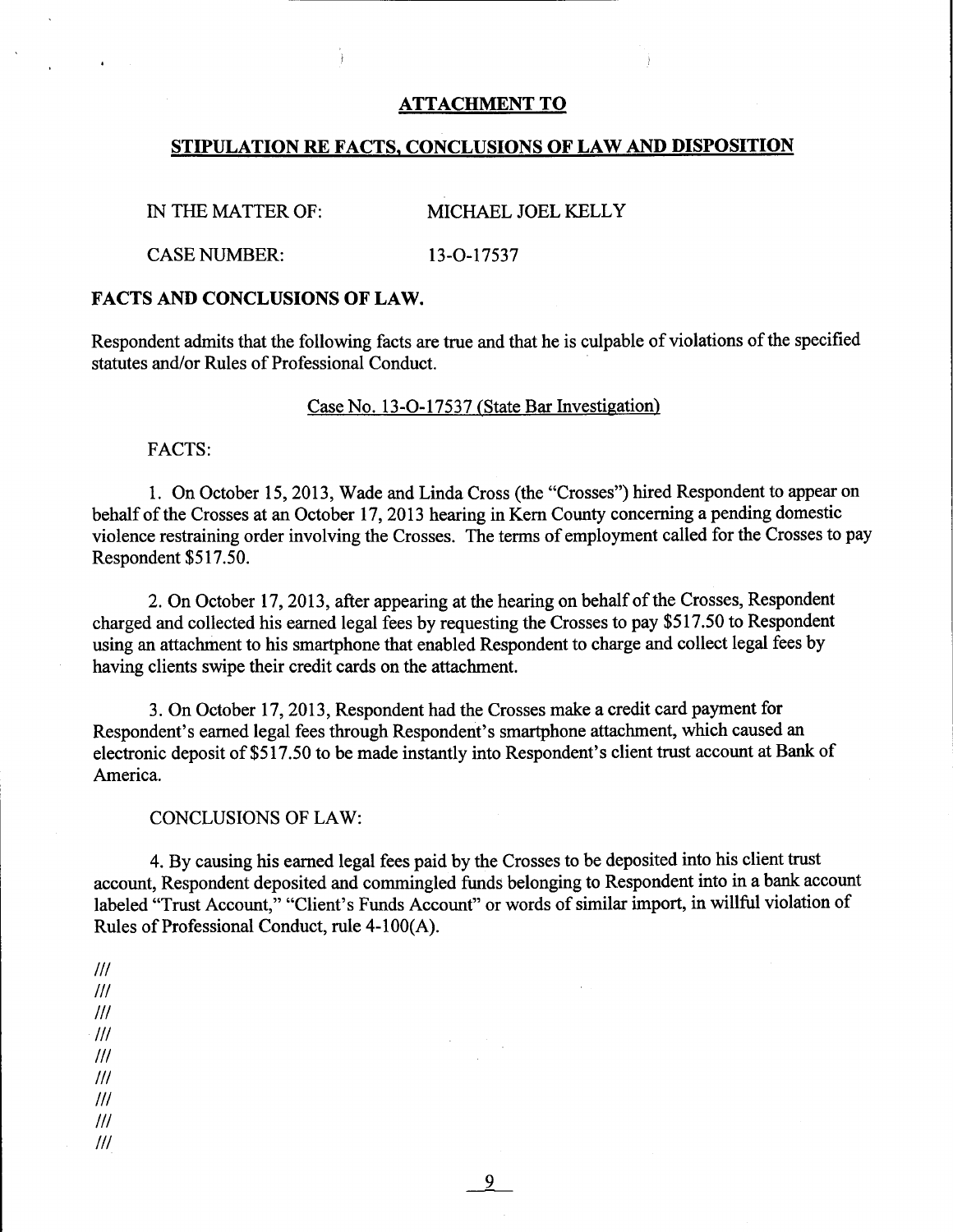### ATTACHMENT TO

### STIPULATION RE FACTS, CONCLUSIONS OF LAW AND DISPOSITION

IN THE MATTER OF: MICHAEL JOEL KELLY

CASE NUMBER: 13-O-17537

#### FACTS AND CONCLUSIONS OF LAW.

Respondent admits that the following facts are true and that he is culpable of violations of the specified statutes and/or Rules of Professional Conduct.

### Case No. 13-O-17537 (State Bar Investigation)

FACTS:

1. On October 15, 2013, Wade and Linda Cross (the "Crosses") hired Respondent to appear on behalf of the Crosses at an October 17, 2013 hearing in Kern County concerning a pending domestic violence restraining order involving the Crosses. The terms of employment called for the Crosses to pay Respondent \$517.50.

2. On October 17, 2013, after appearing at the hearing on behalf of the Crosses, Respondent charged and collected his earned legal fees by requesting the Crosses to pay \$517.50 to Respondent using an attachment to his smartphone that enabled Respondent to charge and collect legal fees by having clients swipe their credit cards on the attachment.

3. On October 17, 2013, Respondent had the Crosses make a credit card payment for Respondent's earned legal fees through Respondent's smartphone attachment, which caused an electronic deposit of \$517.50 to be made instantly into Respondent's client trust account at Bank of America.

CONCLUSIONS OF LAW:

4. By causing his earned legal fees paid by the Crosses to be deposited into his client trust account, Respondent deposited and commingled funds belonging to Respondent into in a bank account labeled "Trust Account," "Client's Funds Account" or words of similar import, in willful violation of Rules of Professional Conduct, rule 4-100(A).

 $III$  $III$  $III$  $III$  $III$  $III$  $III$  $III$  $III$ 

9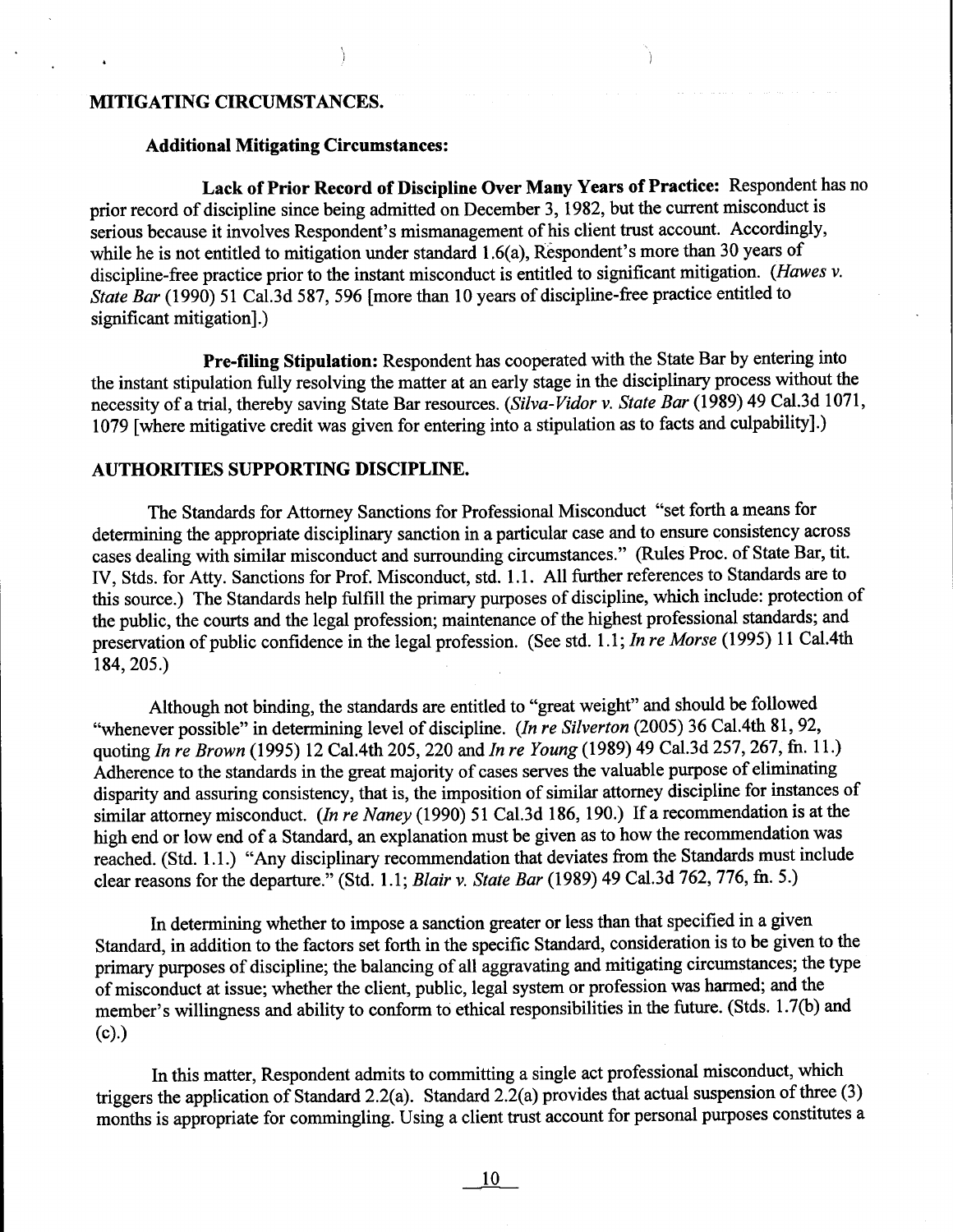# MITIGATING **CIRCUMSTANCES.**

### **Additional Mitigating Circumstances:**

**Lack of Prior Record of Discipline Over Many Years of Practice: Respondent has** no prior record of discipline since being admitted on December 3, 1982, but the current misconduct is serious because it involves Respondent's mismanagement of his client trust account. Accordingly, while he is not entitled to mitigation under standard  $1.6(a)$ , Respondent's more than 30 years of discipline-free practice prior to the instant misconduct is entitled to significant mitigation. *(Hawes v. State Bar* (1990) 51 Cal.3d 587, 596 [more than 10 years of discipline-free practice entitled to significant mitigation].)

**Pre-filing Stipulation:** Respondent has cooperated with the State Bar by entering into the instant stipulation fully resolving the matter at an early stage in the disciplinary process without the necessity of a trial, thereby saving State Bar resources. *(Silva-Vidor v. State Bar* (1989) 49 Cal.3d 1071, 1079 [where mitigative credit was given for entering into a stipulation as to facts and culpability].)

#### **AUTHORITIES SUPPORTING DISCIPLINE.**

The Standards for Attomey Sanctions for Professional Misconduct "set forth a means for determining the appropriate disciplinary sanction in a particular case and to ensure consistency across cases dealing with similar misconduct and surrounding circumstances." (Rules Proc. of State Bar, tit. IV, Stds. for Atty. Sanctions for Prof. Misconduct, std. 1.1. All further references to Standards are to this source.) The Standards help fulfill the primary purposes of discipline, which include: protection of the public, the courts and the legal profession; maintenance of the highest professional standards; and preservation of public confidence in the legal profession. (See std. 1.1; *In re Morse* (1995) 11 Cal.4th 184,205.)

Although not binding, the standards are entitled to "great weight" and should be followed "whenever possible" in determining level of discipline. *(ln re Silverton* (2005) 36 Cal.4th 81, 92, quoting *In re Brown* (1995) 12 Cal.4th 205,220 and *In re Young* (1989) 49 Cal.3d 257, 267, fn. 11.) Adherence to the standards in the great majority of cases serves the valuable purpose of eliminating disparity and assuring consistency, that is, the imposition of similar attorney discipline for instances of similar attorney misconduct. *(In re Naney* (1990) 51 Cal.3d 186, 190.) If a recommendation is at the high end or low end of a Standard, an explanation must be given as to how the recommendation was reached. (Std. 1.1.) "Any disciplinary recommendation that deviates from the Standards must include clear reasons for the departure." (Std. 1.1; *Blair v. State Bar* (1989) 49 Cal.3d 762, 776, fn. 5.)

In determining whether to impose a sanction greater or less than that specified in a given Standard, in addition to the factors set forth in the specific Standard, consideration is to be given to the primary purposes of discipline; the balancing of all aggravating and mitigating circumstances; the type of misconduct at issue; whether the client, public, legal system or profession was harmed; and the member's willingness and ability to conform to ethical responsibilities in the future. (Stds. 1.7(b) and (c).)

In this matter, Respondent admits to committing a single act professional misconduct, which triggers the application of Standard 2.2(a). Standard 2.2(a) provides that actual suspension of three (3) months is appropriate for commingling. Using a client trust account for personal purposes constitutes a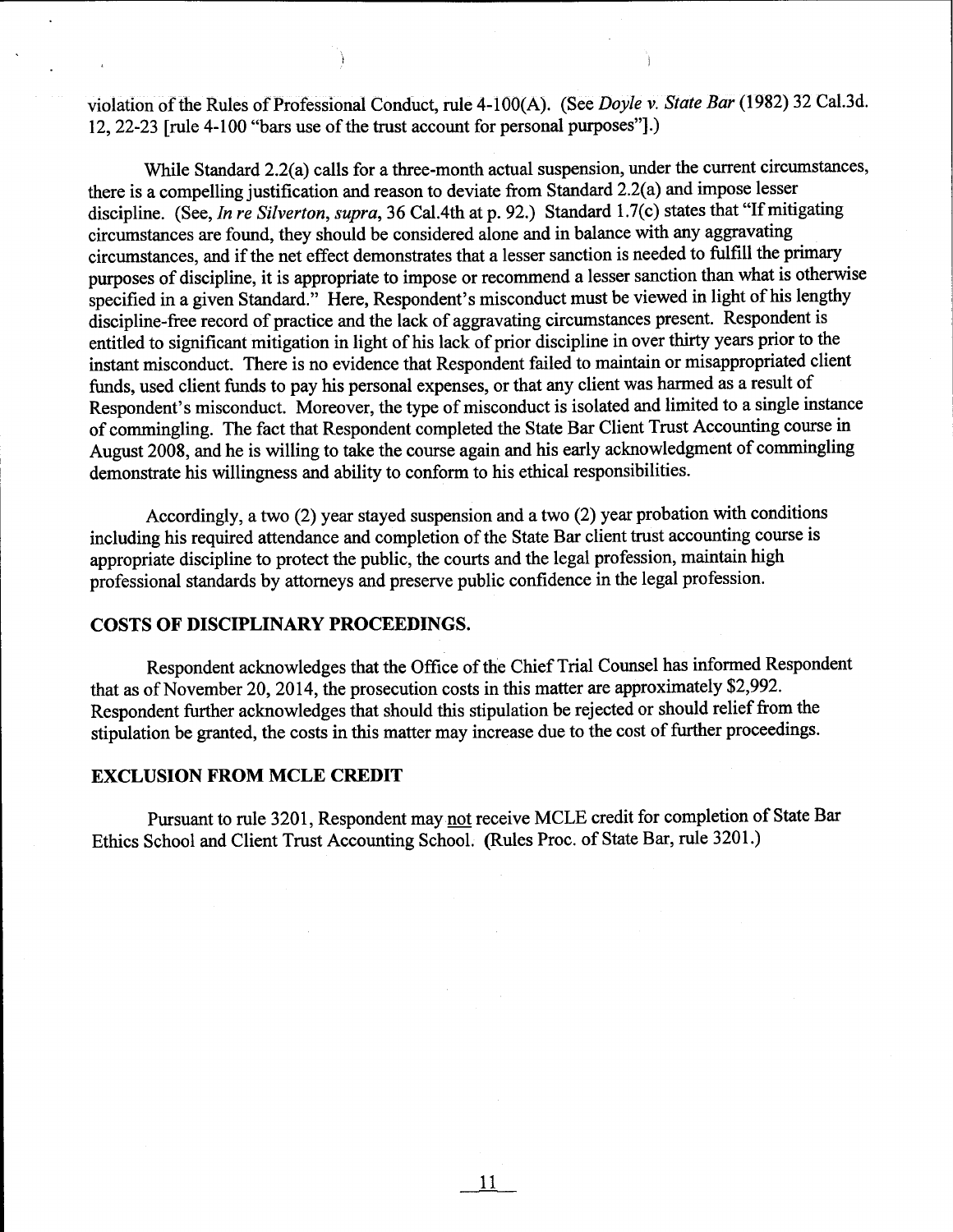violation of the Rules of Professional Conduct, rule 4-i00(A). (See *Doyle v, State Bar* (1982) 32 Cal.3d. 12, 22-23 [rule 4-100 "bars use of the trust account for personal purposes"].)

While Standard 2.2(a) calls for a three-month actual suspension, under the current circumstances, there is a compelling justification and reason to deviate from Standard 2.2(a) and impose lesser discipline. (See, *In re Silverton, supra,* 36 Cal.4th at p. 92.) Standard 1.7(c) states that "If mitigating circumstances are found, they should be considered alone and in balance with any aggravating circumstances, and if the net effect demonstrates that a lesser sanction is needed to fulfill the primary purposes of discipline, it is appropriate to impose or recommend a lesser sanction than what is otherwise specified in a given Standard." Here, Respondent's misconduct must be viewed in light of his lengthy discipline-free record of practice and the lack of aggravating circumstances present. Respondent is entitled to significant mitigation in light of his lack of prior discipline in over thirty years prior to the instant misconduct. There is no evidence that Respondent failed to maintain or misappropriated client funds, used client funds to pay his personal expenses, or that any client was harmed as a result of Respondent's misconduct. Moreover, the type of misconduct is isolated and limited to a single instance of commingling. The fact that Respondent completed the State Bar Client Trust Accounting course in August 2008, and he is willing to take the course again and his early acknowledgment of commingling demonstrate his willingness and ability to conform to his ethical responsibilities.

Accordingly, a two (2) year stayed suspension and a two (2) year probation with conditions including his required attendance and completion of the State Bar client trust accounting course is appropriate discipline to protect the public, the courts and the legal profession, maintain high professional standards by attorneys and preserve public confidence in the legal profession.

### COSTS OF DISCIPLINARY PROCEEDINGS.

Respondent acknowledges that the Office of the Chief Trial Counsel has informed Respondent that as of November 20, 2014, the prosecution costs in this matter are approximately \$2,992. Respondent further acknowledges that should this stipulation be rejected or should relief from the stipulation be granted, the costs in this matter may increase due to the cost of further proceedings.

#### **EXCLUSION FROM MCLE CREDIT**

Pursuant to rule 3201, Respondent may not receive MCLE credit for completion of State Bar Ethics School and Client Trust Accounting School. (Rules Proc. of State Bar, rule 3201.)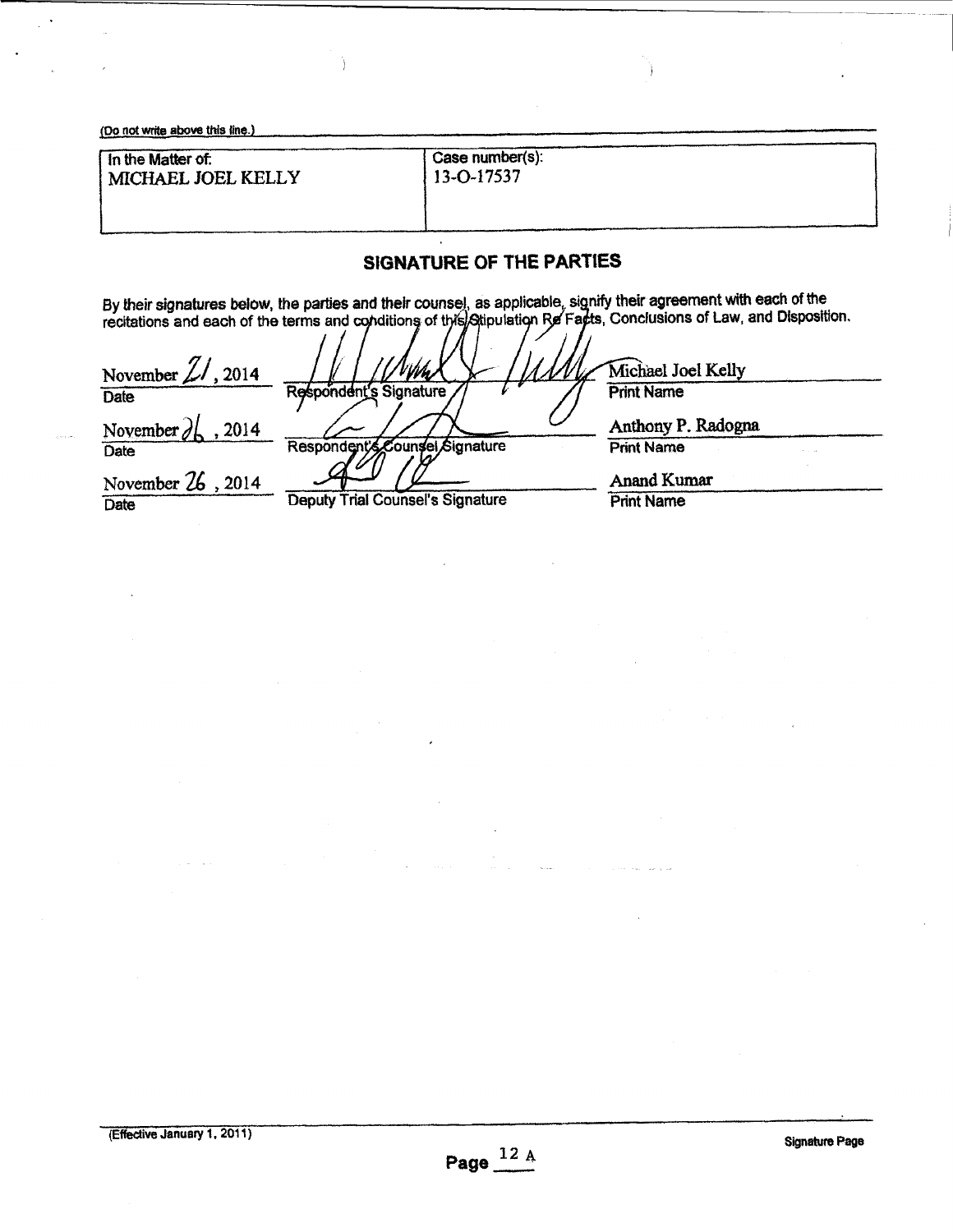| (Do not write above this line.)                                                                                                              |                               |  |
|----------------------------------------------------------------------------------------------------------------------------------------------|-------------------------------|--|
| In the Matter of:<br>MICHAEL JOEL KELLY                                                                                                      | Case number(s):<br>13-O-17537 |  |
| SIGNATURE OF THE PARTIES<br>By their cinnatures helpy the parties and their counsel, as applicable, signify their agreement with each of the |                               |  |

Ì

By their signatures below, the parties and their counsel, as applicable, signify their agreement with each of the recitations and each of the terms and conditions of the Appulation Rel Facts, Conclusions of Law, and Disposition.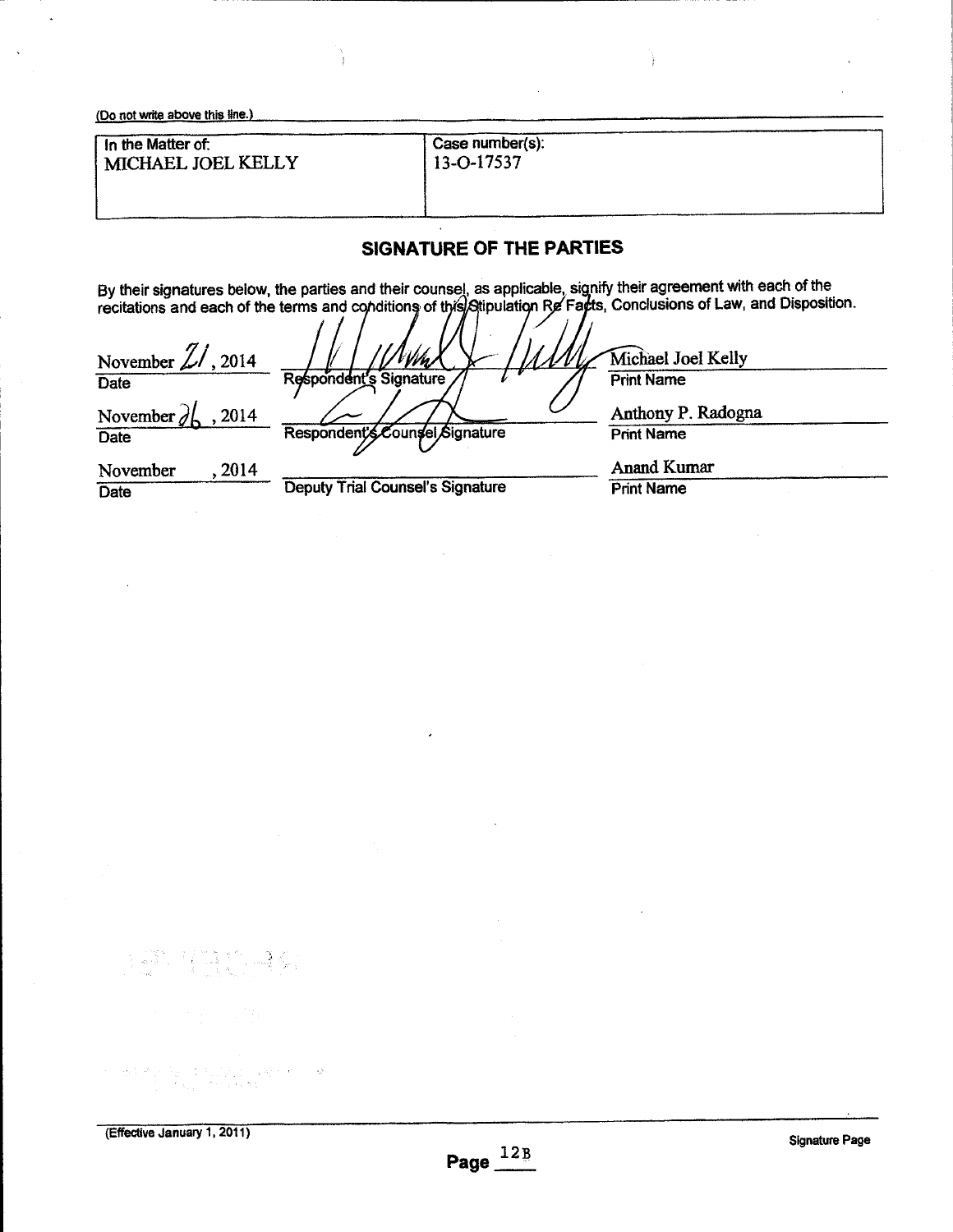| (Do not write above this line.)         |                               |  |
|-----------------------------------------|-------------------------------|--|
| In the Matter of:<br>MICHAEL JOEL KELLY | Case number(s):<br>13-O-17537 |  |
|                                         |                               |  |

Y

# **SIGNATURE OF THE PARTIES**

By their signatures below, the parties and their counsel, as applicable, signify their agreement with each of the recitations and each of the terms and conditions of this Stipulation Re Facts, Conclusions of Law, and Dispo

| November $\mathbb{Z}/$ , 2014 |                                         | Michael Joel Kelly |
|-------------------------------|-----------------------------------------|--------------------|
| Date                          | Respondent's Signature                  | <b>Print Name</b>  |
| 2014<br>November $q$          |                                         | Anthony P. Radogna |
| <b>Date</b>                   | Respondent's Counsel Signature          | <b>Print Name</b>  |
| 2014<br>November              |                                         | <b>Anand Kumar</b> |
| Date                          | <b>Deputy Trial Counsel's Signature</b> | <b>Print Name</b>  |

有些。4分 ਿੱਲੀ ਦ

 $\frac{A_1(\xi_1,\xi_2)}{\xi_1}=\frac{1}{2}\frac{1}{2}\left[\frac{1}{2}\left(\frac{\xi_1+\xi_2}{2}\right)\left(\frac{\xi_1+\xi_2}{2}\right)\right]\left[\frac{1}{2}\left(\frac{\xi_1+\xi_2}{2}\right)\right]$ 

 $\sim$   $2$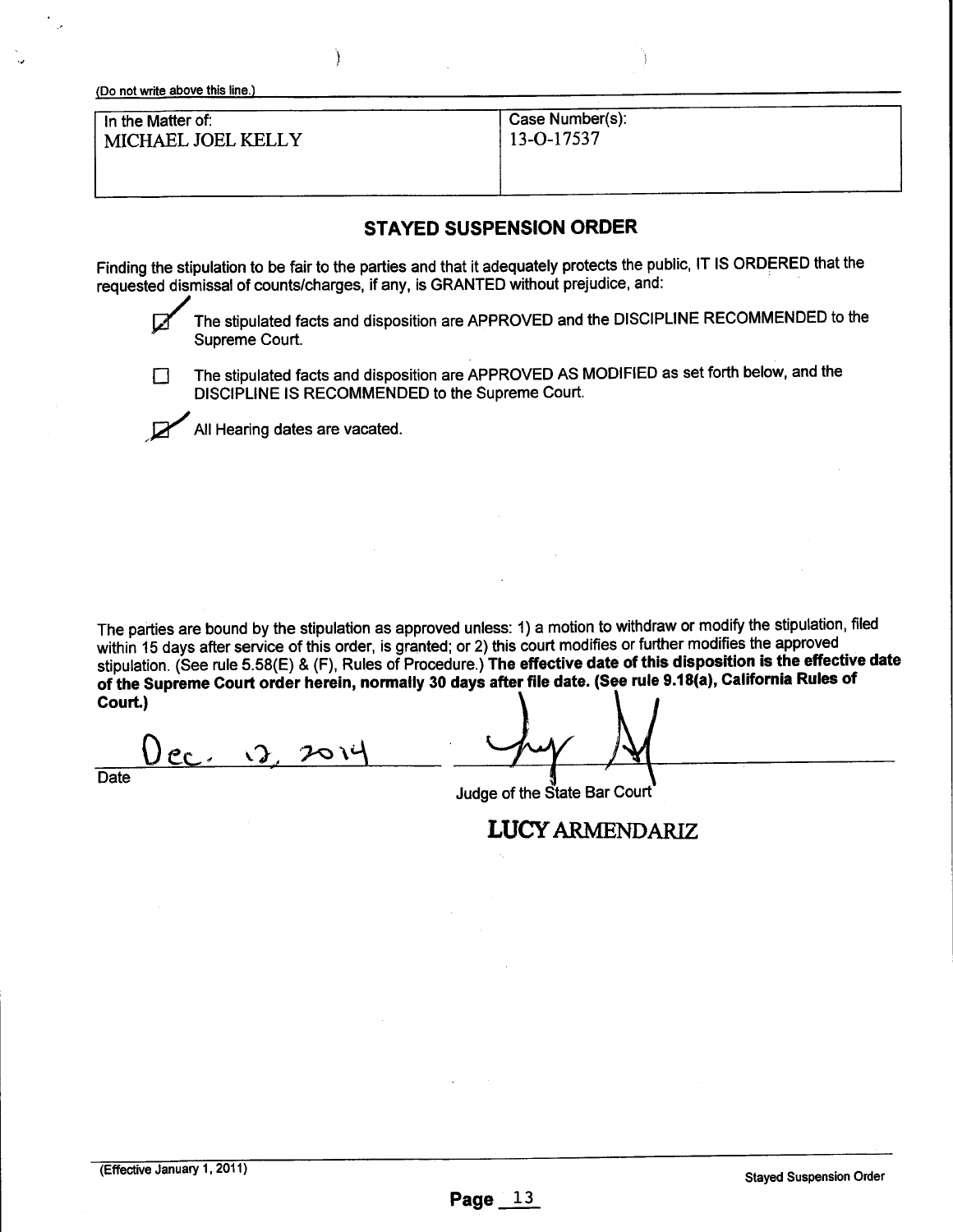| In the Matter of:  | Case Number(s):  |
|--------------------|------------------|
| MICHAEL JOEL KELLY | $13 - 0 - 17537$ |
|                    |                  |

### **STAYED SUSPENSION ORDER**

Finding the stipulation to be fair to the parties and that it adequately protects the public, IT IS ORDERED that the requested dismissal of counts/charges, if any, is GRANTED without prejudice, and:



The stipulated facts and disposition are APPROVED and the DISCIPLINE RECOMMENDED to the Supreme Court.

The stipulated facts and disposition are APPROVED AS MODIFIED as set forth below, and the П DISCIPLINE IS RECOMMENDED to the Supreme Court.

All Hearing dates are vacated.

The parties are bound by the stipulation as approved unless: 1) a motion to withdraw or modify the stipulation, filed within 15 days after service of this order, is granted; or 2) this court modifies or further modifies the approved stipulation. (See rule 5.58(E) & (F), Rules of Procedure.) The effective date of **this disposition is the** effective date of the Supreme **Court order** herein, normally 30 days after file date. (See rule 9.t 8(a), California Rules of Court.)

 $P_{\text{C}}$   $\Omega$  $201$ 

**Date** 

Judge of the State Bar Court

**LUCY ARMENDARIZ**